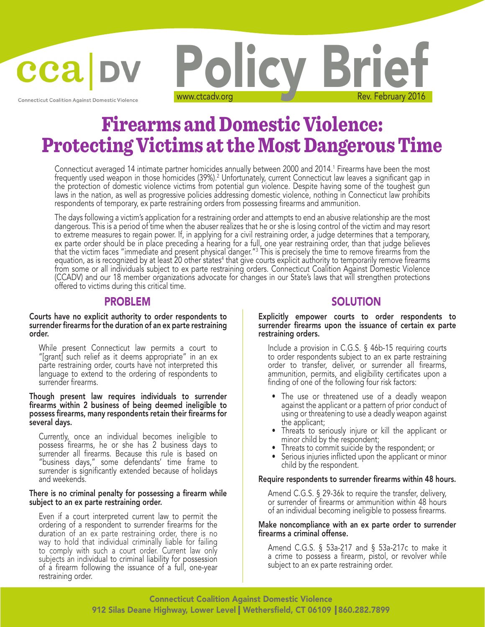

**Connecticut Coalition Against Domestic Violence** 

# Policy Briet

# Firearms and Domestic Violence: Protecting Victims at the Most Dangerous Time

Connecticut averaged 14 intimate partner homicides annually between 2000 and 2014.' Firearms have been the most frequently used weapon in those homicides (39%).<sup>2</sup> Unfortunately, current Connecticut law leaves a significant gap in the protection of domestic violence victims from potential gun violence. Despite having some of the toughest gun laws in the nation, as well as progressive policies addressing domestic violence, nothing in Connecticut law prohibits respondents of temporary, ex parte restraining orders from possessing firearms and ammunition.

The days following a victim's application for a restraining order and attempts to end an abusive relationship are the most dangerous. This is a period of time when the abuser realizes that he or she is losing control of the victim and may resort to extreme measures to regain power. If, in applying for a civil restraining order, a judge determines that a temporary, ex parte order should be in place preceding a hearing for a full, one year restraining order, than that judge believes that the victim faces "immediate and present physical danger."3 equation, as is recognized by at least 20 other states<sup>4</sup> that give courts explicit authority to temporarily remove firearms from some or all individuals subject to ex parte restraining orders. Connecticut Coalition Against Domestic Violence (CCADV) and our 18 member organizations advocate for changes in our State's laws that will strengthen protections offered to victims during this critical time.

### PROBLEM

### Courts have no explicit authority to order respondents to surrender firearms for the duration of an ex parte restraining order.

While present Connecticut law permits a court to "[grant] such relief as it deems appropriate" in an ex parte restraining order, courts have not interpreted this language to extend to the ordering of respondents to surrender firearms.

### Though present law requires individuals to surrender firearms within 2 business of being deemed ineligible to possess firearms, many respondents retain their firearms for several days.

Currently, once an individual becomes ineligible to possess firearms, he or she has 2 business days to surrender all firearms. Because this rule is based on "business days," some defendants' time frame to surrender is significantly extended because of holidays and weekends.

### There is no criminal penalty for possessing a firearm while subject to an ex parte restraining order.

Even if a court interpreted current law to permit the ordering of a respondent to surrender firearms for the duration of an ex parte restraining order, there is no duration of an ex parte restraining order, there is no<br>way to hold that individual criminally liable for failing to comply with such a court order. Current law only subjects an individual to criminal liability for possession of a firearm following the issuance of a full, one-year restraining order.

### SOLUTION

### Explicitly empower courts to order respondents to surrender firearms upon the issuance of certain ex parte restraining orders.

Include a provision in C.G.S. § 46b-15 requiring courts to order respondents subject to an ex parte restraining order to transfer, deliver, or surrender all firearms, ammunition, permits, and eligibility certificates upon a finding of one of the following four risk factors:

- The use or threatened use of a deadly weapon against the applicant or a pattern of prior conduct of using or threatening to use a deadly weapon against the applicant;
- Threats to seriously injure or kill the applicant or minor child by the respondent;
- Threats to commit suicide by the respondent; or
- Serious injuries inflicted upon the applicant or minor child by the respondent.

### Require respondents to surrender firearms within 48 hours.

Amend C.G.S. § 29-36k to require the transfer, delivery, or surrender of firearms or ammunition within 48 hours of an individual becoming ineligible to possess firearms.

### Make noncompliance with an ex parte order to surrender firearms a criminal offense.

Amend C.G.S. § 53a-217 and § 53a-217c to make it a crime to possess a firearm, pistol, or revolver while subject to an ex parte restraining order.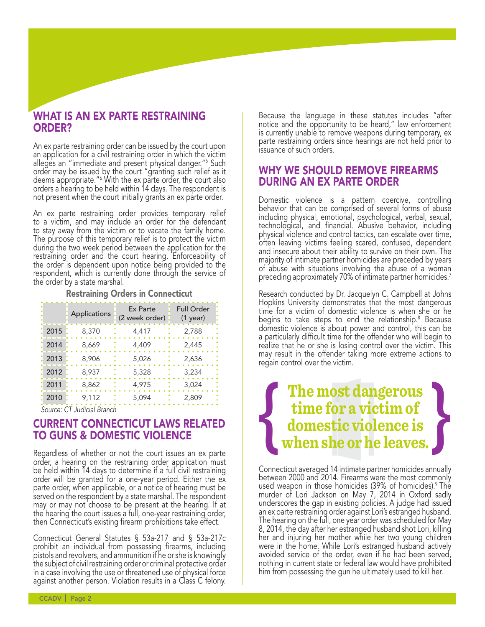### WHAT IS AN EX PARTE RESTRAINING ORDER?

An ex parte restraining order can be issued by the court upon an application for a civil restraining order in which the victim alleges an "immediate and present physical danger."5 Such order may be issued by the court "granting such relief as it deems appropriate."6 orders a hearing to be held within 14 days. The respondent is not present when the court initially grants an ex parte order.

An ex parte restraining order provides temporary relief to a victim, and may include an order for the defendant to stay away from the victim or to vacate the family home. The purpose of this temporary relief is to protect the victim during the two week period between the application for the restraining order and the court hearing. Enforceability of the order is dependent upon notice being provided to the respondent, which is currently done through the service of the order by a state marshal.

### Restraining Orders in Connecticut

|                                                       | Applications | Ex Parte<br>(2 week order) | <b>Full Order</b><br>$(1$ year) |
|-------------------------------------------------------|--------------|----------------------------|---------------------------------|
| 2015                                                  | 8,370        | 4,417                      | 2,788                           |
| 2014                                                  | 8,669        | 4,409                      | 2,445                           |
| 2013                                                  | 8,906        | 5,026                      | 2,636                           |
| 2012                                                  | 8,937        | 5,328                      | 3,234                           |
| 2011                                                  | 8,862        | 4,975                      | 3,024                           |
| 2010                                                  | 9,112        | 5,094                      | 2,809                           |
| $\cap$ $\top$ $\cdot$ $\cdot$ $\cdot$ $\Gamma$ $\cap$ |              |                            |                                 |

*Source: CT Judicial Branch*

### CURRENT CONNECTICUT LAWS RELATED TO GUNS & DOMESTIC VIOLENCE

Regardless of whether or not the court issues an ex parte order, a hearing on the restraining order application must be held within 14 days to determine if a full civil restraining order will be granted for a one-year period. Either the ex parte order, when applicable, or a notice of hearing must be served on the respondent by a state marshal. The respondent may or may not choose to be present at the hearing. If at the hearing the court issues a full, one-year restraining order, then Connecticut's existing firearm prohibitions take effect.

Connecticut General Statutes § 53a-217 and § 53a-217c prohibit an individual from possessing firearms, including pistols and revolvers, and ammunition if he or she is knowingly the subject of civil restraining order or criminal protective order in a case involving the use or threatened use of physical force against another person. Violation results in a Class C felony.

Because the language in these statutes includes "after notice and the opportunity to be heard," law enforcement is currently unable to remove weapons during temporary, ex parte restraining orders since hearings are not held prior to issuance of such orders.

### WHY WE SHOULD REMOVE FIREARMS DURING AN EX PARTE ORDER

Domestic violence is a pattern coercive, controlling behavior that can be comprised of several forms of abuse including physical, emotional, psychological, verbal, sexual, technological, and financial. Abusive behavior, including physical violence and control tactics, can escalate over time, often leaving victims feeling scared, confused, dependent and insecure about their ability to survive on their own. The majority of intimate partner homicides are preceded by years of abuse with situations involving the abuse of a woman preceding approximately 70% of intimate partner homicides.7

Research conducted by Dr. Jacquelyn C. Campbell at Johns Hopkins University demonstrates that the most dangerous time for a victim of domestic violence is when she or he begins to take steps to end the relationship.<sup>8</sup> Because domestic violence is about power and control, this can be a particularly difficult time for the offender who will begin to realize that he or she is losing control over the victim. This may result in the offender taking more extreme actions to regain control over the victim.

# **The most dangerous time for a victim of domestic violence is { when she or he leaves. {**

Connecticut averaged 14 intimate partner homicides annually between 2000 and 2014. Firearms were the most commonly used weapon in those homicides (39% of homicides).<sup>9</sup> The murder of Lori Jackson on May 7, 2014 in Oxford sadly underscores the gap in existing policies. A judge had issued an ex parte restraining order against Lori's estranged husband. The hearing on the full, one year order was scheduled for May 8, 2014, the day after her estranged husband shot Lori, killing her and injuring her mother while her two young children were in the home. While Lori's estranged husband actively avoided service of the order, even if he had been served, nothing in current state or federal law would have prohibited him from possessing the gun he ultimately used to kill her.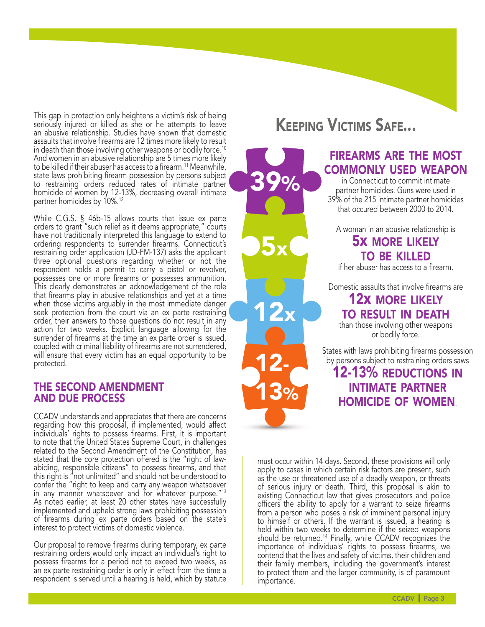This gap in protection only heightens a victim's risk of being seriously injured or killed as she or he attempts to leave an abusive relationship. Studies have shown that domestic assaults that involve firearms are 12 times more likely to result in death than those involving other weapons or bodily force.<sup>10</sup> And women in an abusive relationship are 5 times more likely to be killed if their abuser has access to a firearm.<sup>11</sup> Meanwhile, state laws prohibiting firearm possession by persons subject to restraining orders reduced rates of intimate partner homicide of women by 12-13%, decreasing overall intimate partner homicides by 10%.12

While C.G.S. § 46b-15 allows courts that issue ex parte orders to grant "such relief as it deems appropriate," courts have not traditionally interpreted this language to extend to ordering respondents to surrender firearms. Connecticut's restraining order application (JD-FM-137) asks the applicant three optional questions regarding whether or not the respondent holds a permit to carry a pistol or revolver, possesses one or more firearms or possesses ammunition. This clearly demonstrates an acknowledgement of the role that firearms play in abusive relationships and yet at a time when those victims arguably in the most immediate danger seek protection from the court via an ex parte restraining order, their answers to those questions do not result in any action for two weeks. Explicit language allowing for the surrender of firearms at the time an ex parte order is issued, coupled with criminal liability of firearms are not surrendered, will ensure that every victim has an equal opportunity to be protected.

### THE SECOND AMENDMENT AND DUE PROCESS

CCADV understands and appreciates that there are concerns regarding how this proposal, if implemented, would affect individuals' rights to possess firearms. First, it is important to note that the United States Supreme Court, in challenges related to the Second Amendment of the Constitution, has stated that the core protection offered is the "right of lawabiding, responsible citizens" to possess firearms, and that this right is "not unlimited" and should not be understood to confer the "right to keep and carry any weapon whatsoever in any manner whatsoever and for whatever purpose."<sup>13</sup> As noted earlier, at least 20 other states have successfully implemented and upheld strong laws prohibiting possession of firearms during ex parte orders based on the state's interest to protect victims of domestic violence.

Our proposal to remove firearms during temporary, ex parte restraining orders would only impact an individual's right to possess firearms for a period not to exceed two weeks, as an ex parte restraining order is only in effect from the time a respondent is served until a hearing is held, which by statute

## Keeping Victims Safe...

39%

5x

12x

12-

13%

### FIREARMS ARE THE MOST firearms are the most COMMONLY USED WEAPON commonly used weapon

in Connecticut to commit intimate in Connecticut to commit intimate partner homicides. Guns were used in partner homicides. Guns were used in 39% of the 215 intimate partner homicides that occured between 2000 to 2012. that occured between 2000 to 2014.

A woman in an abusive relationship is A woman in an abusive relationship is

### 5x MORE LIKELY 5x more likely **TO BE KILLED**

if her abuser has access to a firearm. if her abuser has access to a firearm.

Domestic assaults that involve firearms are Domestic assaults that involve firearms are

### 12x MORE LIKELY 12x more likely TO RESULT IN DEATH to result in death

than those involving other weapons than those involving other weapons or bodily force. or bodily force.

States with laws prohibiting firearm possession States with laws prohibiting firearms possession by persons subject to restraining orders saw by persons subject to restraining orders saws

### 12-13% REDUCTIONS IN 12-13% reductions in **INTIMATE PARTNER** HOMICIDE OF WOMEN. homicide of women.

must occur within 14 days. Second, these provisions will only apply to cases in which certain risk factors are present, such as the use or threatened use of a deadly weapon, or threats of serious injury or death. Third, this proposal is akin to existing Connecticut law that gives prosecutors and police officers the ability to apply for a warrant to seize firearms from a person who poses a risk of imminent personal injury to himself or others. If the warrant is issued, a hearing is held within two weeks to determine if the seized weapons should be returned.<sup>14</sup> Finally, while CCADV recognizes the should be returned.<sup>14</sup> Finally, while CCADV recognizes the<br>importance of individuals' rights to possess firearms, we contend that the lives and safety of victims, their children and their family members, including the government's interest to protect them and the larger community, is of paramount importance.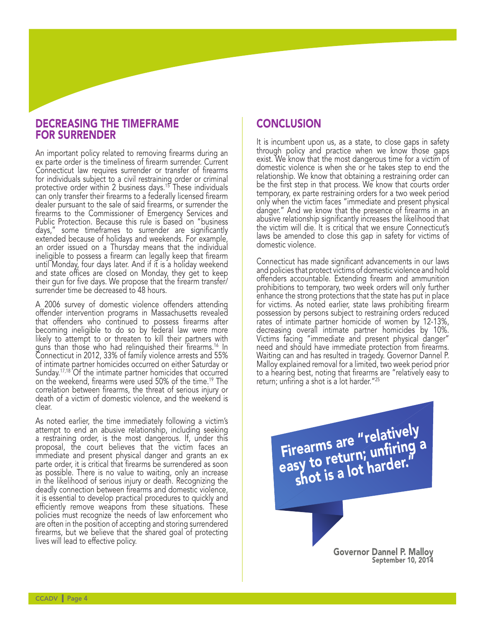### DECREASING THE TIMEFRAME FOR SURRENDER

An important policy related to removing firearms during an ex parte order is the timeliness of firearm surrender. Current Connecticut law requires surrender or transfer of firearms for individuals subject to a civil restraining order or criminal protective order within 2 business days.<sup>15</sup> These individuals can only transfer their firearms to a federally licensed firearm dealer pursuant to the sale of said firearms, or surrender the firearms to the Commissioner of Emergency Services and Public Protection. Because this rule is based on "business days," some timeframes to surrender are significantly extended because of holidays and weekends. For example, an order issued on a Thursday means that the individual ineligible to possess a firearm can legally keep that firearm until Monday, four days later. And if it is a holiday weekend and state offices are closed on Monday, they get to keep their gun for five days. We propose that the firearm transfer/ surrender time be decreased to 48 hours.

A 2006 survey of domestic violence offenders attending offender intervention programs in Massachusetts revealed that offenders who continued to possess firearms after becoming ineligible to do so by federal law were more likely to attempt to or threaten to kill their partners with guns than those who had relinquished their firearms.16 In Connecticut in 2012, 33% of family violence arrests and 55% of intimate partner homicides occurred on either Saturday or Sunday.<sup>17,18</sup> Of the intimate partner homicides that occurred on the weekend, firearms were used 50% of the time.<sup>19</sup> The correlation between firearms, the threat of serious injury or death of a victim of domestic violence, and the weekend is clear.

As noted earlier, the time immediately following a victim's attempt to end an abusive relationship, including seeking a restraining order, is the most dangerous. If, under this proposal, the court believes that the victim faces an immediate and present physical danger and grants an ex parte order, it is critical that firearms be surrendered as soon as possible. There is no value to waiting, only an increase in the likelihood of serious injury or death. Recognizing the deadly connection between firearms and domestic violence, it is essential to develop practical procedures to quickly and efficiently remove weapons from these situations. These policies must recognize the needs of law enforcement who are often in the position of accepting and storing surrendered firearms, but we believe that the shared goal of protecting lives will lead to effective policy.

### **CONCLUSION**

It is incumbent upon us, as a state, to close gaps in safety through policy and practice when we know those gaps exist. We know that the most dangerous time for a victim of domestic violence is when she or he takes step to end the relationship. We know that obtaining a restraining order can be the first step in that process. We know that courts order temporary, ex parte restraining orders for a two week period only when the victim faces "immediate and present physical danger." And we know that the presence of firearms in an abusive relationship significantly increases the likelihood that the victim will die. It is critical that we ensure Connecticut's laws be amended to close this gap in safety for victims of domestic violence.

Connecticut has made significant advancements in our laws and policies that protect victims of domestic violence and hold offenders accountable. Extending firearm and ammunition prohibitions to temporary, two week orders will only further enhance the strong protections that the state has put in place for victims. As noted earlier, state laws prohibiting firearm possession by persons subject to restraining orders reduced rates of intimate partner homicide of women by 12-13%, decreasing overall intimate partner homicides by 10%. Victims facing "immediate and present physical danger" need and should have immediate protection from firearms. Waiting can and has resulted in tragedy. Governor Dannel P. Malloy explained removal for a limited, two week period prior to a hearing best, noting that firearms are "relatively easy to return; unfiring a shot is a lot harder."25

> Firearms are "relatively Firearms are . Unfiring a<br>easy to return; unfiring a<br>shot is a lot harder.

> > Governor Dannel P. Malloy September 10, 2014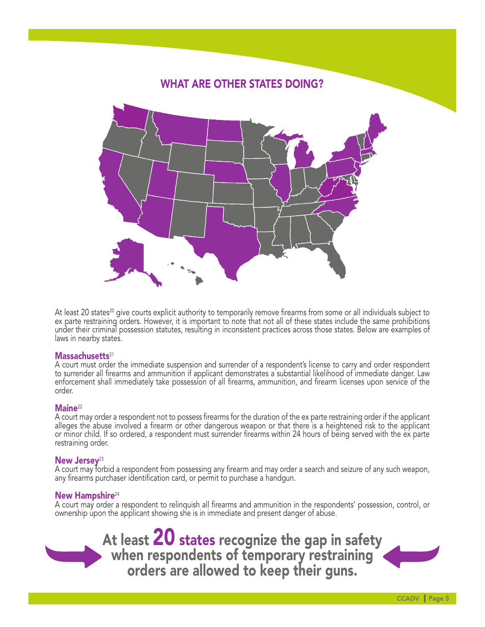# WHAT ARE OTHER STATES DOING?

At least 20 states<sup>20</sup> give courts explicit authority to temporarily remove firearms from some or all individuals subject to<br>ex parte restraining orders. However, it is important to note that not all of these states includ under their criminal possession statutes, resulting in inconsistent practices across those states. Below are examples of laws in nearby states.

### Massachusetts<sup>21</sup>

A court must order the immediate suspension and surrender of a respondent's license to carry and order respondent to surrender all firearms and ammunition if applicant demonstrates a substantial likelihood of immediate danger. Law enforcement shall immediately take possession of all firearms, ammunition, and firearm licenses upon service of the order.

**Maine**<sup>22</sup><br>A court may order a respondent not to possess firearms for the duration of the ex parte restraining order if the applicant alleges the abuse involved a firearm or other dangerous weapon or that there is a heightened risk to the applicant or minor child. If so ordered, a respondent must surrender firearms within 24 hours of being served with the ex parte restraining order.

New Jersey<sup>23</sup><br>A court may forbid a respondent from possessing any firearm and may order a search and seizure of any such weapon, any firearms purchaser identification card, or permit to purchase a handgun.

New Hampshire<sup>24</sup><br>A court may order a respondent to relinquish all firearms and ammunition in the respondents' possession, control, or ownership upon the applicant showing she is in immediate and present danger of abuse.

At least **20** states recognize the gap in safety when respondents of temporary restraining orders are allowed to keep their guns.